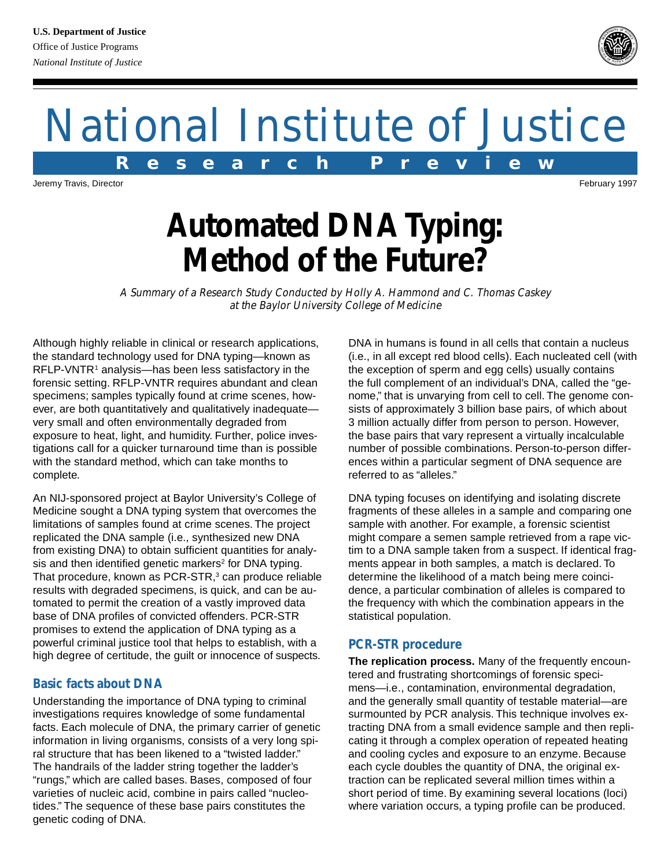# National Institute of Justice **R e s e a r c h P r e v i e w**

Jeremy Travis, Director February 1997

## **Automated DNA Typing: Method of the Future?**

A Summary of a Research Study Conducted by Holly A. Hammond and C. Thomas Caskey at the Baylor University College of Medicine

Although highly reliable in clinical or research applications, the standard technology used for DNA typing—known as RFLP-VNTR<sup>1</sup> analysis—has been less satisfactory in the forensic setting. RFLP-VNTR requires abundant and clean specimens; samples typically found at crime scenes, however, are both quantitatively and qualitatively inadequate very small and often environmentally degraded from exposure to heat, light, and humidity. Further, police investigations call for a quicker turnaround time than is possible with the standard method, which can take months to complete.

An NIJ-sponsored project at Baylor University's College of Medicine sought a DNA typing system that overcomes the limitations of samples found at crime scenes. The project replicated the DNA sample (i.e., synthesized new DNA from existing DNA) to obtain sufficient quantities for analysis and then identified genetic markers<sup>2</sup> for DNA typing. That procedure, known as PCR-STR,<sup>3</sup> can produce reliable results with degraded specimens, is quick, and can be automated to permit the creation of a vastly improved data base of DNA profiles of convicted offenders. PCR-STR promises to extend the application of DNA typing as a powerful criminal justice tool that helps to establish, with a high degree of certitude, the guilt or innocence of suspects.

### **Basic facts about DNA**

Understanding the importance of DNA typing to criminal investigations requires knowledge of some fundamental facts. Each molecule of DNA, the primary carrier of genetic information in living organisms, consists of a very long spiral structure that has been likened to a "twisted ladder." The handrails of the ladder string together the ladder's "rungs," which are called bases. Bases, composed of four varieties of nucleic acid, combine in pairs called "nucleotides." The sequence of these base pairs constitutes the genetic coding of DNA.

DNA in humans is found in all cells that contain a nucleus (i.e., in all except red blood cells). Each nucleated cell (with the exception of sperm and egg cells) usually contains the full complement of an individual's DNA, called the "genome," that is unvarying from cell to cell. The genome consists of approximately 3 billion base pairs, of which about 3 million actually differ from person to person. However, the base pairs that vary represent a virtually incalculable number of possible combinations. Person-to-person differences within a particular segment of DNA sequence are referred to as "alleles."

DNA typing focuses on identifying and isolating discrete fragments of these alleles in a sample and comparing one sample with another. For example, a forensic scientist might compare a semen sample retrieved from a rape victim to a DNA sample taken from a suspect. If identical fragments appear in both samples, a match is declared. To determine the likelihood of a match being mere coincidence, a particular combination of alleles is compared to the frequency with which the combination appears in the statistical population.

### **PCR-STR procedure**

**The replication process.** Many of the frequently encountered and frustrating shortcomings of forensic specimens—i.e., contamination, environmental degradation, and the generally small quantity of testable material—are surmounted by PCR analysis. This technique involves extracting DNA from a small evidence sample and then replicating it through a complex operation of repeated heating and cooling cycles and exposure to an enzyme. Because each cycle doubles the quantity of DNA, the original extraction can be replicated several million times within a short period of time. By examining several locations (loci) where variation occurs, a typing profile can be produced.